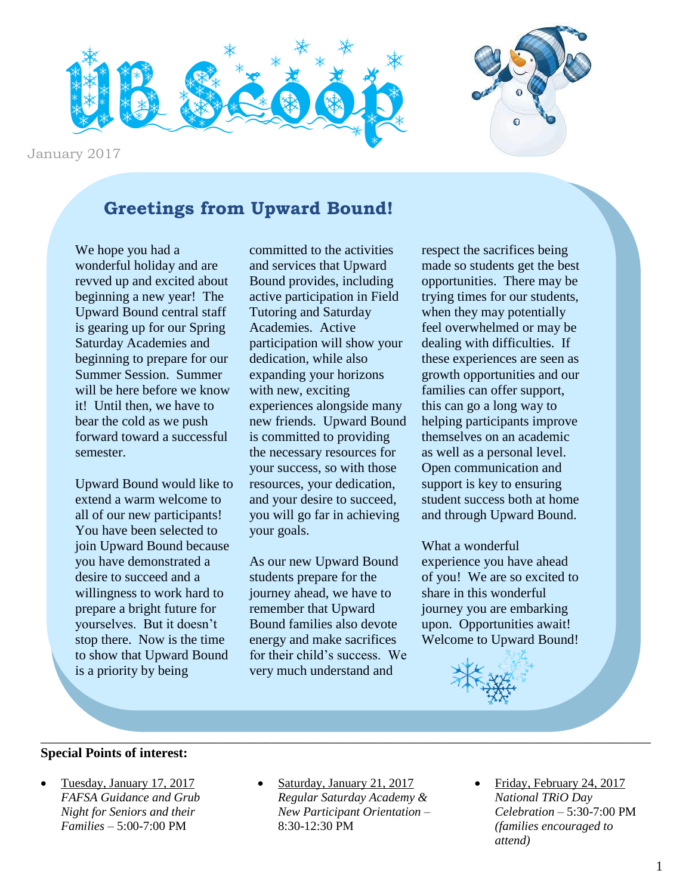



January 2017

### **Greetings from Upward Bound!**

We hope you had a wonderful holiday and are revved up and excited about beginning a new year! The Upward Bound central staff is gearing up for our Spring Saturday Academies and beginning to prepare for our Summer Session. Summer will be here before we know it! Until then, we have to bear the cold as we push forward toward a successful semester.

Upward Bound would like to extend a warm welcome to all of our new participants! You have been selected to join Upward Bound because you have demonstrated a desire to succeed and a willingness to work hard to prepare a bright future for yourselves. But it doesn't stop there. Now is the time to show that Upward Bound is a priority by being

committed to the activities and services that Upward Bound provides, including active participation in Field Tutoring and Saturday Academies. Active participation will show your dedication, while also expanding your horizons with new, exciting experiences alongside many new friends. Upward Bound is committed to providing the necessary resources for your success, so with those resources, your dedication, and your desire to succeed, you will go far in achieving your goals.

As our new Upward Bound students prepare for the journey ahead, we have to remember that Upward Bound families also devote energy and make sacrifices for their child's success. We very much understand and

respect the sacrifices being made so students get the best opportunities. There may be trying times for our students, when they may potentially feel overwhelmed or may be dealing with difficulties. If these experiences are seen as growth opportunities and our families can offer support, this can go a long way to helping participants improve themselves on an academic as well as a personal level. Open communication and support is key to ensuring student success both at home and through Upward Bound.

What a wonderful experience you have ahead of you! We are so excited to share in this wonderful journey you are embarking upon. Opportunities await! Welcome to Upward Bound!



#### **Special Points of interest:**

- Tuesday, January 17, 2017 *FAFSA Guidance and Grub Night for Seniors and their Families –* 5:00-7:00 PM
- Saturday, January 21, 2017 *Regular Saturday Academy & New Participant Orientation –* 8:30-12:30 PM

\_\_\_\_\_\_\_\_\_\_\_\_\_\_\_\_\_\_\_\_\_\_\_\_\_\_\_\_\_\_\_\_\_\_\_\_\_\_\_\_\_\_\_\_\_\_\_\_\_\_\_\_\_\_\_\_\_\_\_\_\_\_\_\_\_\_\_\_\_\_\_\_\_\_\_\_\_\_\_\_\_\_\_\_\_\_\_\_\_\_

• Friday, February 24, 2017 *National TRiO Day Celebration –* 5:30-7:00 PM *(families encouraged to attend)*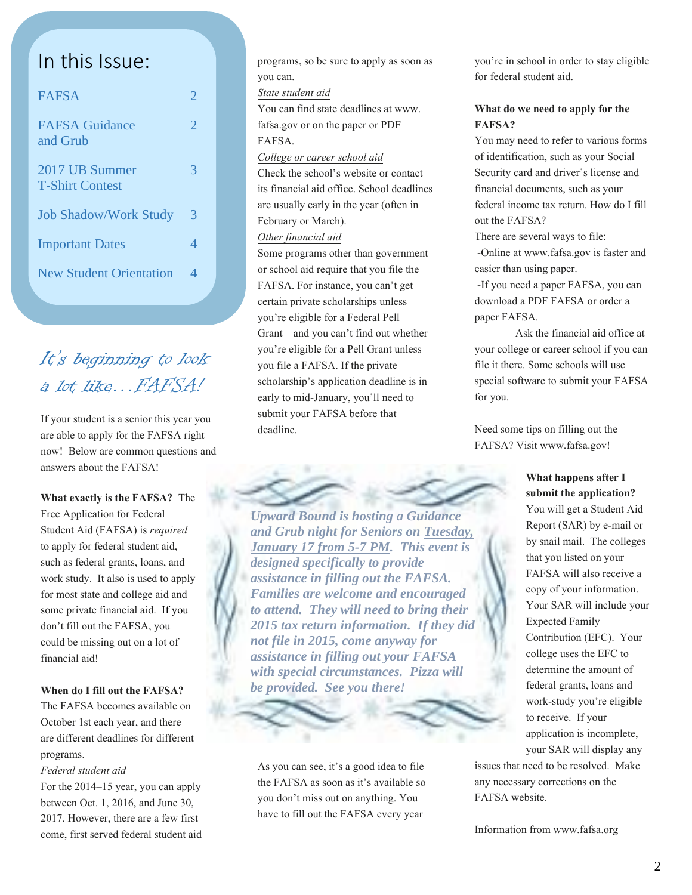### In this Issue:

| <b>FAFSA</b>                             | 2              |
|------------------------------------------|----------------|
| <b>FAFSA Guidance</b><br>and Grub        | $\overline{2}$ |
| 2017 UB Summer<br><b>T-Shirt Contest</b> | 3              |
| <b>Job Shadow/Work Study</b>             | 3              |
| <b>Important Dates</b>                   | 4              |
| <b>New Student Orientation</b>           | 4              |

### It's beginning to look a lot like…FAFSA!

If your student is a senior this year you are able to apply for the FAFSA right now! Below are common questions and answers about the FAFSA!

**What exactly is the FAFSA?** The Free Application for Federal Student Aid (FAFSA) is *required* to apply for federal student aid, such as federal grants, loans, and work study. It also is used to apply for most state and college aid and some private financial aid. If you don't fill out the FAFSA, you could be missing out on a lot of financial aid!

#### **When do I fill out the FAFSA?**

The FAFSA becomes available on October 1st each year, and there are different deadlines for different programs.

#### *Federal student aid*

For the 2014–15 year, you can apply between Oct. 1, 2016, and June 30, 2017. However, there are a few first come, first served federal student aid programs, so be sure to apply as soon as you can.

#### *State student aid*

You can find state deadlines at www. fafsa.gov or on the paper or PDF FAFSA.

#### *College or career school aid*

Check the school's website or contact its financial aid office. School deadlines are usually early in the year (often in February or March).

#### *Other financial aid*

Some programs other than government or school aid require that you file the FAFSA. For instance, you can't get certain private scholarships unless you're eligible for a Federal Pell Grant—and you can't find out whether you're eligible for a Pell Grant unless you file a FAFSA. If the private scholarship's application deadline is in early to mid-January, you'll need to submit your FAFSA before that deadline.

*Upward Bound is hosting a Guidance and Grub night for Seniors on Tuesday, January 17 from 5-7 PM. This event is designed specifically to provide assistance in filling out the FAFSA. Families are welcome and encouraged to attend. They will need to bring their 2015 tax return information. If they did not file in 2015, come anyway for assistance in filling out your FAFSA with special circumstances. Pizza will be provided. See you there!*

As you can see, it's a good idea to file the FAFSA as soon as it's available so you don't miss out on anything. You have to fill out the FAFSA every year

you're in school in order to stay eligible for federal student aid.

#### **What do we need to apply for the FAFSA?**

You may need to refer to various forms of identification, such as your Social Security card and driver's license and financial documents, such as your federal income tax return. How do I fill out the FAFSA?

There are several ways to file:

-Online at www.fafsa.gov is faster and easier than using paper.

-If you need a paper FAFSA, you can download a PDF FAFSA or order a paper FAFSA.

Ask the financial aid office at your college or career school if you can file it there. Some schools will use special software to submit your FAFSA for you.

Need some tips on filling out the FAFSA? Visit [www.fafsa.gov!](http://www.fafsa.gov/)

#### **What happens after I submit the application?**

You will get a Student Aid Report (SAR) by e-mail or by snail mail. The colleges that you listed on your FAFSA will also receive a copy of your information. Your SAR will include your Expected Family Contribution (EFC). Your college uses the EFC to determine the amount of federal grants, loans and work-study you're eligible to receive. If your application is incomplete, your SAR will display any

issues that need to be resolved. Make any necessary corrections on the FAFSA website.

Information from www.fafsa.org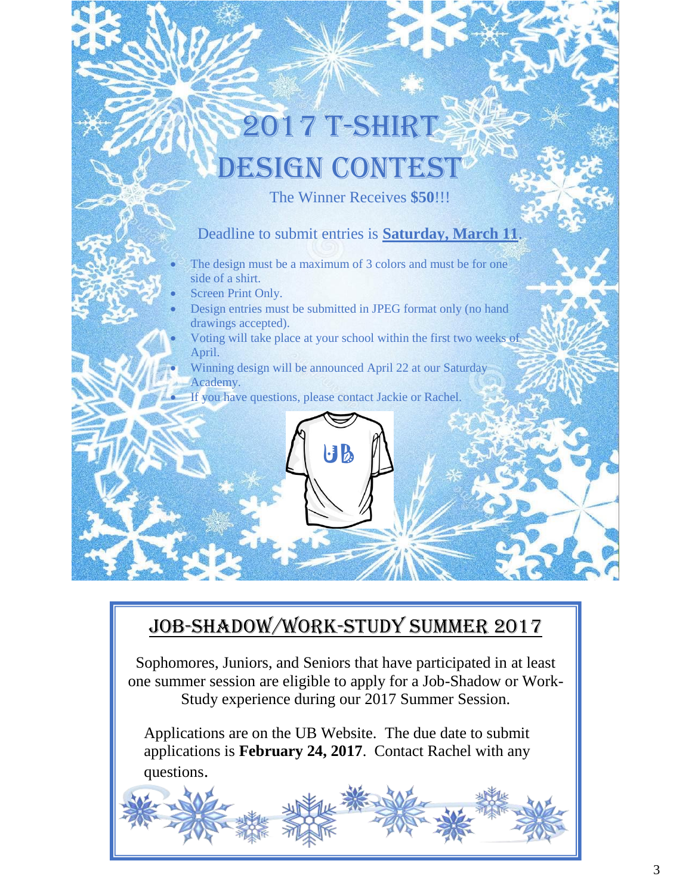# 2017 T-Shirt **ESIGN CONTES**

The Winner Receives **\$50**!!!

### Deadline to submit entries is **Saturday, March 11**.

- The design must be a maximum of 3 colors and must be for one side of a shirt.
- Screen Print Only.
- Design entries must be submitted in JPEG format only (no hand drawings accepted).
- Voting will take place at your school within the first two weeks of April.
- Winning design will be announced April 22 at our Saturday Academy.

 $\mathbf{B}$ 

If you have questions, please contact Jackie or Rachel.

### Job-Shadow/Work-Study Summer 2017

Sophomores, Juniors, and Seniors that have participated in at least one summer session are eligible to apply for a Job-Shadow or Work-Study experience during our 2017 Summer Session.

Applications are on the UB Website. The due date to submit applications is **February 24, 2017**. Contact Rachel with any questions.